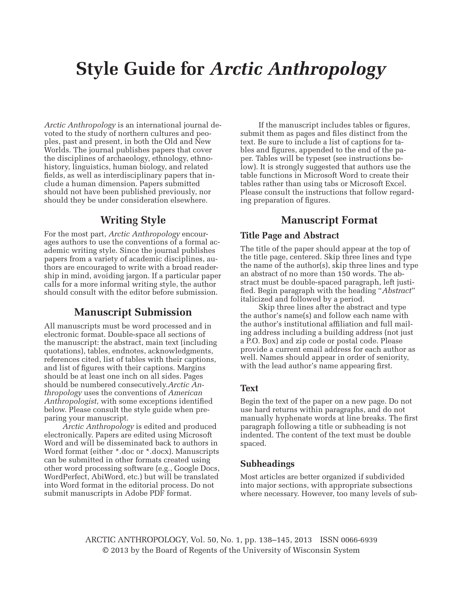# **Style Guide for** *Arctic Anthropology*

*Arctic Anthropology* is an international journal devoted to the study of northern cultures and peoples, past and present, in both the Old and New Worlds. The journal publishes papers that cover the disciplines of archaeology, ethnology, ethnohistory, linguistics, human biology, and related fields, as well as interdisciplinary papers that include a human dimension. Papers submitted should not have been published previously, nor should they be under consideration elsewhere.

# **Writing Style**

For the most part, *Arctic Anthropology* encourages authors to use the conventions of a formal academic writing style. Since the journal publishes papers from a variety of academic disciplines, authors are encouraged to write with a broad readership in mind, avoiding jargon. If a particular paper calls for a more informal writing style, the author should consult with the editor before submission.

## **Manuscript Submission**

All manuscripts must be word processed and in electronic format. Double-space all sections of the manuscript: the abstract, main text (including quotations), tables, endnotes, acknowledgments, references cited, list of tables with their captions, and list of figures with their captions. Margins should be at least one inch on all sides. Pages should be numbered consecutively.*Arctic Anthropology* uses the conventions of *American Anthropologist*, with some exceptions identified below. Please consult the style guide when preparing your manuscript.

*Arctic Anthropology* is edited and produced electronically. Papers are edited using Microsoft Word and will be disseminated back to authors in Word format (either \*.doc or \*.docx). Manuscripts can be submitted in other formats created using other word processing software (e.g., Google Docs, WordPerfect, AbiWord, etc.) but will be translated into Word format in the editorial process. Do not submit manuscripts in Adobe PDF format.

If the manuscript includes tables or figures, submit them as pages and files distinct from the text. Be sure to include a list of captions for tables and figures, appended to the end of the paper. Tables will be typeset (see instructions below). It is strongly suggested that authors use the table functions in Microsoft Word to create their tables rather than using tabs or Microsoft Excel. Please consult the instructions that follow regarding preparation of figures.

# **Manuscript Format**

#### **Title Page and Abstract**

The title of the paper should appear at the top of the title page, centered. Skip three lines and type the name of the author(s), skip three lines and type an abstract of no more than 150 words. The abstract must be double-spaced paragraph, left justified. Begin paragraph with the heading "Abstract" italicized and followed by a period.

Skip three lines after the abstract and type the author's name(s) and follow each name with the author's institutional affiliation and full mailing address including a building address (not just a P.O. Box) and zip code or postal code. Please provide a current email address for each author as well. Names should appear in order of seniority, with the lead author's name appearing first.

#### **Text**

Begin the text of the paper on a new page. Do not use hard returns within paragraphs, and do not manually hyphenate words at line breaks. The first paragraph following a title or subheading is not indented. The content of the text must be double spaced.

## **Subheadings**

Most articles are better organized if subdivided into major sections, with appropriate subsections where necessary. However, too many levels of sub-

ARCTIC ANTHROPOLOGY, Vol. 50, No. 1, pp. 138–145, 2013 ISSN 0066-6939 © 2013 by the Board of Regents of the University of Wisconsin System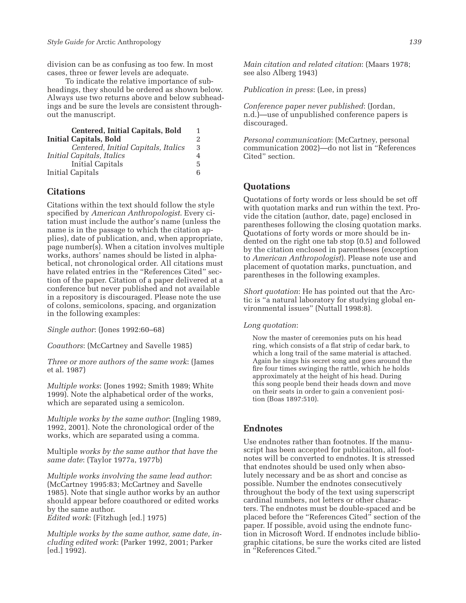division can be as confusing as too few. In most cases, three or fewer levels are adequate.

To indicate the relative importance of subheadings, they should be ordered as shown below. Always use two returns above and below subheadings and be sure the levels are consistent throughout the manuscript.

| <b>Centered, Initial Capitals, Bold</b> | 1 |
|-----------------------------------------|---|
| <b>Initial Capitals, Bold</b>           | 2 |
| Centered, Initial Capitals, Italics     | 3 |
| Initial Capitals, Italics               | 4 |
| Initial Capitals                        | 5 |
| Initial Capitals                        | 6 |

#### **Citations**

Citations within the text should follow the style specified by *American Anthropologist*. Every citation must include the author's name (unless the name is in the passage to which the citation applies), date of publication, and, when appropriate, page number(s). When a citation involves multiple works, authors' names should be listed in alphabetical, not chronological order. All citations must have related entries in the "References Cited" section of the paper. Citation of a paper delivered at a conference but never published and not available in a repository is discouraged. Please note the use of colons, semicolons, spacing, and organization in the following examples:

*Single author*: (Jones 1992:60–68)

*Coauthors*: (McCartney and Savelle 1985)

*Three or more authors of the same work*: (James et al. 1987)

*Multiple works*: (Jones 1992; Smith 1989; White 1999). Note the alphabetical order of the works, which are separated using a semicolon.

*Multiple works by the same author*: (Ingling 1989, 1992, 2001). Note the chronological order of the works, which are separated using a comma.

Multiple *works by the same author that have the same date*: (Taylor 1977a, 1977b)

*Multiple works involving the same lead author*: (McCartney 1995:83; McCartney and Savelle 1985). Note that single author works by an author should appear before coauthored or edited works by the same author. *Edited work*: (Fitzhugh [ed.] 1975)

*Multiple works by the same author, same date, including edited work*: (Parker 1992, 2001; Parker [ed.] 1992).

*Main citation and related citation*: (Maars 1978; see also Alberg 1943)

*Publication in press*: (Lee, in press)

*Conference paper never published*: (Jordan, n.d.)—use of unpublished conference papers is discouraged.

*Personal communication*: (McCartney, personal communication 2002)—do not list in "References Cited" section.

## **Quotations**

Quotations of forty words or less should be set off with quotation marks and run within the text. Provide the citation (author, date, page) enclosed in parentheses following the closing quotation marks. Quotations of forty words or more should be indented on the right one tab stop (0.5) and followed by the citation enclosed in parentheses (exception to *American Anthropologist*). Please note use and placement of quotation marks, punctuation, and parentheses in the following examples.

*Short quotation*: He has pointed out that the Arctic is "a natural laboratory for studying global environmental issues" (Nuttall 1998:8).

#### *Long quotation*:

Now the master of ceremonies puts on his head ring, which consists of a flat strip of cedar bark, to which a long trail of the same material is attached. Again he sings his secret song and goes around the fire four times swinging the rattle, which he holds approximately at the height of his head. During this song people bend their heads down and move on their seats in order to gain a convenient position (Boas 1897:510).

#### **Endnotes**

Use endnotes rather than footnotes. If the manuscript has been accepted for publicaiton, all footnotes will be converted to endnotes. It is stressed that endnotes should be used only when absolutely necessary and be as short and concise as possible. Number the endnotes consecutively throughout the body of the text using superscript cardinal numbers, not letters or other characters. The endnotes must be double-spaced and be placed before the "References Cited" section of the paper. If possible, avoid using the endnote function in Microsoft Word. If endnotes include bibliographic citations, be sure the works cited are listed in "References Cited."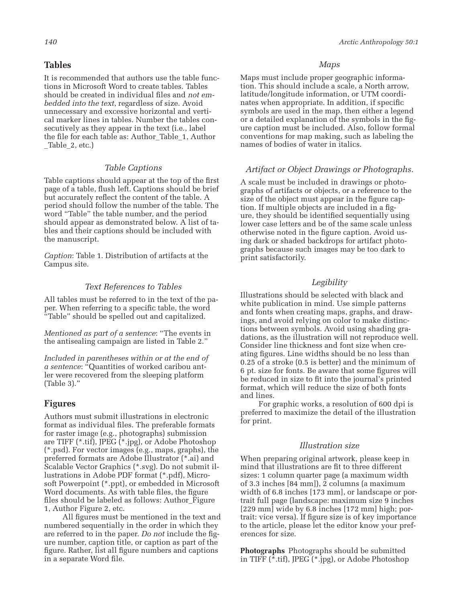## **Tables**

It is recommended that authors use the table functions in Microsoft Word to create tables. Tables should be created in individual files and *not embedded into the text*, regardless of size. Avoid unnecessary and excessive horizontal and vertical marker lines in tables. Number the tables consecutively as they appear in the text (i.e., label the file for each table as: Author\_Table\_1, Author \_Table\_2, etc.)

## *Table Captions*

Table captions should appear at the top of the first page of a table, flush left. Captions should be brief but accurately reflect the content of the table. A period should follow the number of the table. The word "Table" the table number, and the period should appear as demonstrated below. A list of tables and their captions should be included with the manuscript.

*Caption*: Table 1. Distribution of artifacts at the Campus site.

#### *Text References to Tables*

All tables must be referred to in the text of the paper. When referring to a specific table, the word "Table" should be spelled out and capitalized.

*Mentioned as part of a sentence*: "The events in the antisealing campaign are listed in Table 2."

*Included in parentheses within or at the end of a sentence*: "Quantities of worked caribou antler were recovered from the sleeping platform (Table 3)."

## **Figures**

Authors must submit illustrations in electronic format as individual files. The preferable formats for raster image (e.g., photographs) submission are TIFF (\*.tif), JPEG (\*.jpg), or Adobe Photoshop (\*.psd). For vector images (e.g., maps, graphs), the preferred formats are Adobe Illustrator (\*.ai) and Scalable Vector Graphics (\*.svg). Do not submit illustrations in Adobe PDF format (\*.pdf), Microsoft Powerpoint (\*.ppt), or embedded in Microsoft Word documents. As with table files, the figure files should be labeled as follows: Author Figure 1, Author Figure 2, etc.

All figures must be mentioned in the text and numbered sequentially in the order in which they are referred to in the paper. *Do not* include the figure number, caption title, or caption as part of the figure. Rather, list all figure numbers and captions in a separate Word file.

#### *Maps*

Maps must include proper geographic information. This should include a scale, a North arrow, latitude/longitude information, or UTM coordinates when appropriate. In addition, if specific symbols are used in the map, then either a legend or a detailed explanation of the symbols in the figure caption must be included. Also, follow formal conventions for map making, such as labeling the names of bodies of water in italics.

#### *Artifact or Object Drawings or Photographs.*

A scale must be included in drawings or photographs of artifacts or objects, or a reference to the size of the object must appear in the figure caption. If multiple objects are included in a figure, they should be identified sequentially using lower case letters and be of the same scale unless otherwise noted in the figure caption. Avoid using dark or shaded backdrops for artifact photographs because such images may be too dark to print satisfactorily.

## *Legibility*

Illustrations should be selected with black and white publication in mind. Use simple patterns and fonts when creating maps, graphs, and drawings, and avoid relying on color to make distinctions between symbols. Avoid using shading gradations, as the illustration will not reproduce well. Consider line thickness and font size when creating figures. Line widths should be no less than 0.25 of a stroke (0.5 is better) and the minimum of 6 pt. size for fonts. Be aware that some figures will be reduced in size to fit into the journal's printed format, which will reduce the size of both fonts and lines.

For graphic works, a resolution of 600 dpi is preferred to maximize the detail of the illustration for print.

#### *Illustration size*

When preparing original artwork, please keep in mind that illustrations are fit to three different sizes: 1 column quarter page (a maximum width of 3.3 inches [84 mm]), 2 columns (a maximum width of 6.8 inches [173 mm], or landscape or portrait full page (landscape: maximum size 9 inches [229 mm] wide by 6.8 inches [172 mm] high; portrait: vice versa). If figure size is of key importance to the article, please let the editor know your preferences for size.

**Photographs** Photographs should be submitted in TIFF (\*.tif), JPEG (\*.jpg), or Adobe Photoshop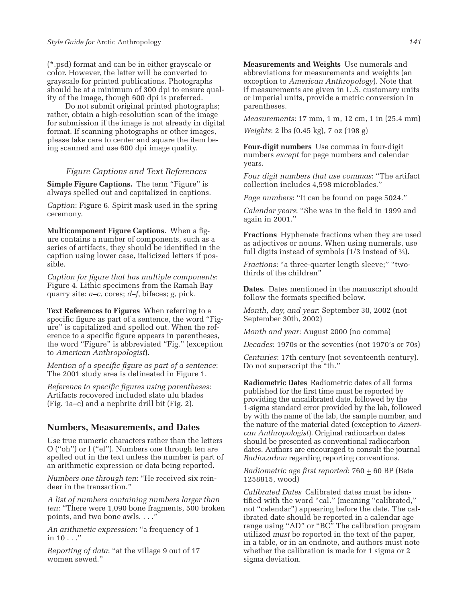(\*.psd) format and can be in either grayscale or color. However, the latter will be converted to grayscale for printed publications. Photographs should be at a minimum of 300 dpi to ensure quality of the image, though 600 dpi is preferred.

Do not submit original printed photographs; rather, obtain a high-resolution scan of the image for submission if the image is not already in digital format. If scanning photographs or other images, please take care to center and square the item being scanned and use 600 dpi image quality.

#### *Figure Captions and Text References*

**Simple Figure Captions.** The term "Figure" is always spelled out and capitalized in captions.

*Caption*: Figure 6. Spirit mask used in the spring ceremony.

**Multicomponent Figure Captions.** When a figure contains a number of components, such as a series of artifacts, they should be identified in the caption using lower case, italicized letters if possible.

*Caption for figure that has multiple components:* Figure 4. Lithic specimens from the Ramah Bay quarry site: *a–c*, cores; *d–f*, bifaces; *g*, pick.

**Text References to Figures** When referring to a specific figure as part of a sentence, the word "Figure" is capitalized and spelled out. When the reference to a specific figure appears in parentheses, the word "Figure" is abbreviated "Fig." (exception to *American Anthropologist*).

*Mention of a specific figure as part of a sentence:* The 2001 study area is delineated in Figure 1.

*Reference to specific figures using parentheses:* Artifacts recovered included slate ulu blades (Fig. 1a–c) and a nephrite drill bit (Fig. 2).

## **Numbers, Measurements, and Dates**

Use true numeric characters rather than the letters O ("oh") or l ("el"). Numbers one through ten are spelled out in the text unless the number is part of an arithmetic expression or data being reported.

*Numbers one through ten*: "He received six reindeer in the transaction."

*A list of numbers containing numbers larger than ten*: "There were 1,090 bone fragments, 500 broken points, and two bone awls. . . ."

*An arithmetic expression*: "a frequency of 1 in  $10 \ldots$ "

*Reporting of data*: "at the village 9 out of 17 women sewed."

**Measurements and Weights** Use numerals and abbreviations for measurements and weights (an exception to *American Anthropology*). Note that if measurements are given in U.S. customary units or Imperial units, provide a metric conversion in parentheses.

*Measurements*: 17 mm, 1 m, 12 cm, 1 in (25.4 mm)

*Weights*: 2 lbs (0.45 kg), 7 oz (198 g)

**Four-digit numbers** Use commas in four-digit numbers *except* for page numbers and calendar years.

*Four digit numbers that use commas*: "The artifact collection includes 4,598 microblades."

*Page numbers*: "It can be found on page 5024."

*Calendar vears*: "She was in the field in 1999 and again in 2001."

**Fractions** Hyphenate fractions when they are used as adjectives or nouns. When using numerals, use full digits instead of symbols (1/3 instead of 1⁄3).

*Fractions*: "a three-quarter length sleeve;" "twothirds of the children"

**Dates.** Dates mentioned in the manuscript should follow the formats specified below.

*Month, day, and year*: September 30, 2002 (not September 30th, 2002)

*Month and year*: August 2000 (no comma)

*Decades*: 1970s or the seventies (not 1970's or 70s)

*Centuries*: 17th century (not seventeenth century). Do not superscript the "th."

**Radiometric Dates** Radiometric dates of all forms published for the first time must be reported by providing the uncalibrated date, followed by the 1-sigma standard error provided by the lab, followed by with the name of the lab, the sample number, and the nature of the material dated (exception to *American Anthropologist*). Original radiocarbon dates should be presented as conventional radiocarbon dates. Authors are encouraged to consult the journal *Radiocarbon* regarding reporting conventions.

*Radiometric age first reported*: 760  $\pm$  60 BP (Beta 1258815, wood)

*Calibrated Dates* Calibrated dates must be identified with the word "cal." (meaning "calibrated," not "calendar") appearing before the date. The calibrated date should be reported in a calendar age range using "AD" or "BC" The calibration program utilized *must* be reported in the text of the paper, in a table, or in an endnote, and authors must note whether the calibration is made for 1 sigma or 2 sigma deviation.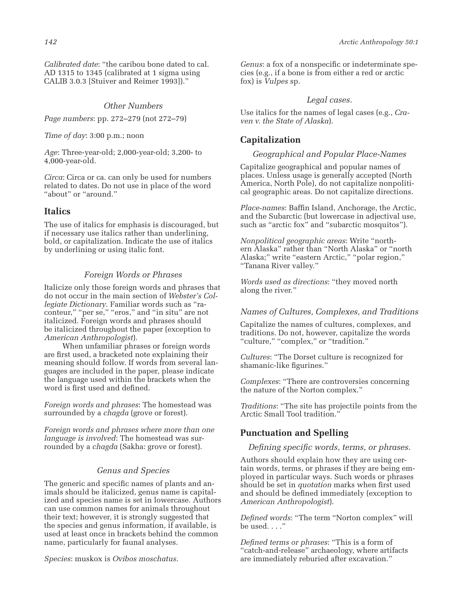*Calibrated date*: "the caribou bone dated to cal. AD 1315 to 1345 (calibrated at 1 sigma using CALIB 3.0.3 [Stuiver and Reimer 1993])."

#### *Other Numbers*

*Page numbers*: pp. 272–279 (not 272–79)

*Time of day*: 3:00 p.m.; noon

*Age*: Three-year-old; 2,000-year-old; 3,200- to 4,000-year-old.

*Circa*: Circa or ca. can only be used for numbers related to dates. Do not use in place of the word "about" or "around."

## **Italics**

The use of italics for emphasis is discouraged, but if necessary use italics rather than underlining, bold, or capitalization. Indicate the use of italics by underlining or using italic font.

## *Foreign Words or Phrases*

Italicize only those foreign words and phrases that do not occur in the main section of *Webster's Collegiate Dictionary*. Familiar words such as "raconteur," "per se," "eros," and "in situ" are not italicized. Foreign words and phrases should be italicized throughout the paper (exception to *American Anthropologist*).

When unfamiliar phrases or foreign words are first used, a bracketed note explaining their meaning should follow. If words from several languages are included in the paper, please indicate the language used within the brackets when the word is first used and defined.

*Foreign words and phrases*: The homestead was surrounded by a *chagda* (grove or forest).

*Foreign words and phrases where more than one language is involved*: The homestead was surrounded by a *chagda* (Sakha: grove or forest).

#### *Genus and Species*

The generic and specific names of plants and animals should be italicized, genus name is capitalized and species name is set in lowercase. Authors can use common names for animals throughout their text; however, it is strongly suggested that the species and genus information, if available, is used at least once in brackets behind the common name, particularly for faunal analyses.

*Species*: muskox is *Ovibos moschatus*.

*Genus*: a fox of a nonspecific or indeterminate species (e.g., if a bone is from either a red or arctic fox) is *Vulpes* sp.

#### *Legal cases.*

Use italics for the names of legal cases (e.g., *Craven v. the State of Alaska*).

## **Capitalization**

#### *Geographical and Popular Place-Names*

Capitalize geographical and popular names of places. Unless usage is generally accepted (North America, North Pole), do not capitalize nonpolitical geographic areas. Do not capitalize directions.

*Place-names*: Baffin Island, Anchorage, the Arctic, and the Subarctic (but lowercase in adjectival use, such as "arctic fox" and "subarctic mosquitos").

*Nonpolitical geographic areas*: Write "northern Alaska" rather than "North Alaska" or "north Alaska;" write "eastern Arctic," "polar region," "Tanana River valley."

*Words used as directions*: "they moved north along the river."

#### *Names of Cultures, Complexes, and Traditions*

Capitalize the names of cultures, complexes, and traditions. Do not, however, capitalize the words "culture," "complex," or "tradition."

*Cultures*: "The Dorset culture is recognized for shamanic-like figurines."

*Complexes*: "There are controversies concerning the nature of the Norton complex."

*Traditions*: "The site has projectile points from the Arctic Small Tool tradition.'

## **Punctuation and Spelling**

*Defining specific words, terms, or phrases.* 

Authors should explain how they are using certain words, terms, or phrases if they are being employed in particular ways. Such words or phrases should be set in *quotation* marks when first used and should be defined immediately (exception to *American Anthropologist*).

*Defi ned words*: "The term "Norton complex" will be used. . . ."

*Defi ned terms or phrases*: "This is a form of "catch-and-release" archaeology, where artifacts are immediately reburied after excavation."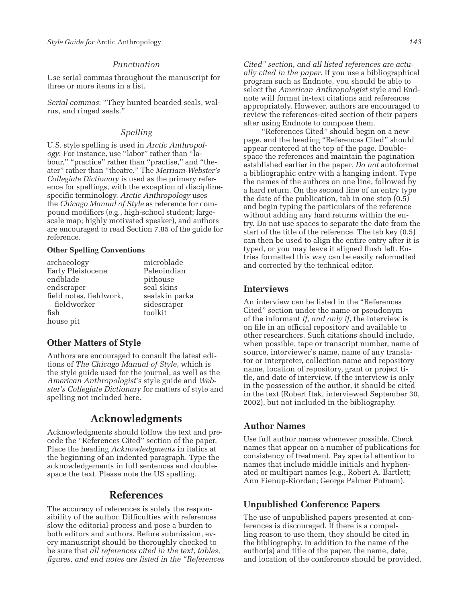#### *Punctuation*

Use serial commas throughout the manuscript for three or more items in a list.

*Serial commas*: "They hunted bearded seals, walrus, and ringed seals."

## *Spelling*

U.S. style spelling is used in *Arctic Anthropology*. For instance, use "labor" rather than "labour," "practice" rather than "practise," and "theater" rather than "theatre." The *Merriam-Webster's Collegiate Dictionary* is used as the primary reference for spellings, with the exception of disciplinespecific terminology. *Arctic Anthropology* uses the *Chicago Manual of Style* as reference for compound modifiers (e.g., high-school student; largescale map; highly motivated speaker), and authors are encouraged to read Section 7.85 of the guide for reference.

#### **Other Spelling Conventions**

| microblade     |
|----------------|
| Paleoindian    |
| pithouse       |
| seal skins     |
| sealskin parka |
| sidescraper    |
| toolkit        |
|                |
|                |

## **Other Matters of Style**

Authors are encouraged to consult the latest editions of *The Chicago Manual of Style*, which is the style guide used for the journal, as well as the *American Anthropologist*'s style guide and *Webster's Collegiate Dictionary* for matters of style and spelling not included here.

# **Acknowledgments**

Acknowledgments should follow the text and precede the "References Cited" section of the paper. Place the heading *Acknowledgments* in italics at the beginning of an indented paragraph. Type the acknowledgements in full sentences and doublespace the text. Please note the US spelling.

## **References**

The accuracy of references is solely the responsibility of the author. Difficulties with references slow the editorial process and pose a burden to both editors and authors. Before submission, every manuscript should be thoroughly checked to be sure that *all references cited in the text, tables, fi gures, and end notes are listed in the "References*  *Cited" section, and all listed references are actually cited in the paper*. If you use a bibliographical program such as Endnote, you should be able to select the *American Anthropologist* style and Endnote will format in-text citations and references appropriately. However, authors are encouraged to review the references-cited section of their papers after using Endnote to compose them.

"References Cited" should begin on a new page, and the heading "References Cited" should appear centered at the top of the page. Doublespace the references and maintain the pagination established earlier in the paper. *Do not* autoformat a bibliographic entry with a hanging indent. Type the names of the authors on one line, followed by a hard return. On the second line of an entry type the date of the publication, tab in one stop (0.5) and begin typing the particulars of the reference without adding any hard returns within the entry. Do not use spaces to separate the date from the start of the title of the reference. The tab key (0.5) can then be used to align the entire entry after it is typed, or you may leave it aligned flush left. Entries formatted this way can be easily reformatted and corrected by the technical editor.

#### **Interviews**

An interview can be listed in the "References Cited" section under the name or pseudonym of the informant *if, and only if*, the interview is on file in an official repository and available to other researchers. Such citations should include, when possible, tape or transcript number, name of source, interviewer's name, name of any translator or interpreter, collection name and repository name, location of repository, grant or project title, and date of interview. If the interview is only in the possession of the author, it should be cited in the text (Robert Itak, interviewed September 30, 2002), but not included in the bibliography.

## **Author Names**

Use full author names whenever possible. Check names that appear on a number of publications for consistency of treatment. Pay special attention to names that include middle initials and hyphenated or multipart names (e.g., Robert A. Bartlett; Ann Fienup-Riordan; George Palmer Putnam).

## **Unpublished Conference Papers**

The use of unpublished papers presented at conferences is discouraged. If there is a compelling reason to use them, they should be cited in the bibliography. In addition to the name of the author(s) and title of the paper, the name, date, and location of the conference should be provided.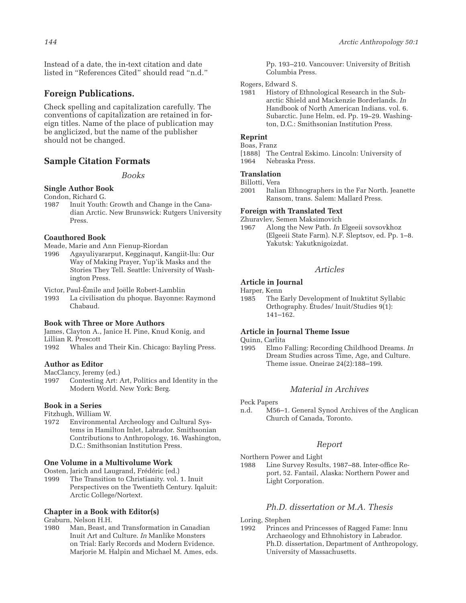Instead of a date, the in-text citation and date listed in "References Cited" should read "n.d."

## **Foreign Publications.**

Check spelling and capitalization carefully. The conventions of capitalization are retained in foreign titles. Name of the place of publication may be anglicized, but the name of the publisher should not be changed.

#### **Sample Citation Formats**

*Books*

#### **Single Author Book**

- Condon, Richard G.<br>1987 Inuit Youth:
- Inuit Youth: Growth and Change in the Canadian Arctic. New Brunswick: Rutgers University Proce

#### **Coauthored Book**

Meade, Marie and Ann Fienup-Riordan

1996 Agayuliyararput, Kegginaqut, Kangiit-llu: Our Way of Making Prayer, Yup'ik Masks and the Stories They Tell. Seattle: University of Washington Press.

Victor, Paul-Émile and Joëlle Robert-Lamblin

La civilisation du phoque. Bayonne: Raymond Chabaud.

#### **Book with Three or More Authors**

James, Clayton A., Janice H. Pine, Knud Konig, and Lillian R. Prescott

1992 Whales and Their Kin. Chicago: Bayling Press.

#### **Author as Editor**

MacClancy, Jeremy (ed.)

1997 Contesting Art: Art, Politics and Identity in the Modern World. New York: Berg.

#### **Book in a Series**

Fitzhugh, William W.

1972 Environmental Archeology and Cultural Systems in Hamilton Inlet, Labrador. Smithsonian Contributions to Anthropology, 16. Washington, D.C.: Smithsonian Institution Press.

#### **One Volume in a Multivolume Work**

Oosten, Jarich and Laugrand, Frédéric (ed.)

The Transition to Christianity. vol. 1. Inuit Perspectives on the Twentieth Century. Iqaluit: Arctic College/Nortext.

#### **Chapter in a Book with Editor(s)**

Graburn, Nelson H.H.

1980 Man, Beast, and Transformation in Canadian Inuit Art and Culture. *In* Manlike Monsters on Trial: Early Records and Modern Evidence. Marjorie M. Halpin and Michael M. Ames, eds. Pp. 193–210. Vancouver: University of British Columbia Press.

Rogers, Edward S.

1981 History of Ethnological Research in the Subarctic Shield and Mackenzie Borderlands. *In* Handbook of North American Indians. vol. 6. Subarctic. June Helm, ed. Pp. 19–29. Washington, D.C.: Smithsonian Institution Press.

#### **Reprint**

#### Boas, Franz

[1888] The Central Eskimo. Lincoln: University of 1964 Nebraska Press.

#### **Translation**

Billotti, Vera<br>2001 Italia

Italian Ethnographers in the Far North. Jeanette Ransom, trans. Salem: Mallard Press.

#### **Foreign with Translated Text**

Zhuravlev, Semen Maksimovich<br>1967 – Along the New Path. In 1

1967 Along the New Path. *In* Elgeeii sovsovkhoz (Elgeeii State Farm). N.F. Sleptsov, ed. Pp. 1–8. Yakutsk: Yakutknigoizdat.

#### *Articles*

#### **Article in Journal**

Harper, Kenn<br>1985 The E

The Early Development of Inuktitut Syllabic Orthography. Études/ Inuit/Studies 9(1): 141–162.

#### **Article in Journal Theme Issue**

Quinn, Carlita

1995 Elmo Falling: Recording Childhood Dreams. *In* Dream Studies across Time, Age, and Culture. Theme issue. Oneirae 24(2):188–199.

## *Material in Archives*

Peck Papers

n.d. M56–1. General Synod Archives of the Anglican Church of Canada, Toronto.

#### *Report*

Northern Power and Light

1988 Line Survey Results, 1987–88. Inter-office Report, 52. Fantail, Alaska: Northern Power and Light Corporation.

## *Ph.D. dissertation or M.A. Thesis*

Loring, Stephen

1992 Princes and Princesses of Ragged Fame: Innu Archaeology and Ethnohistory in Labrador. Ph.D. dissertation, Department of Anthropology, University of Massachusetts.